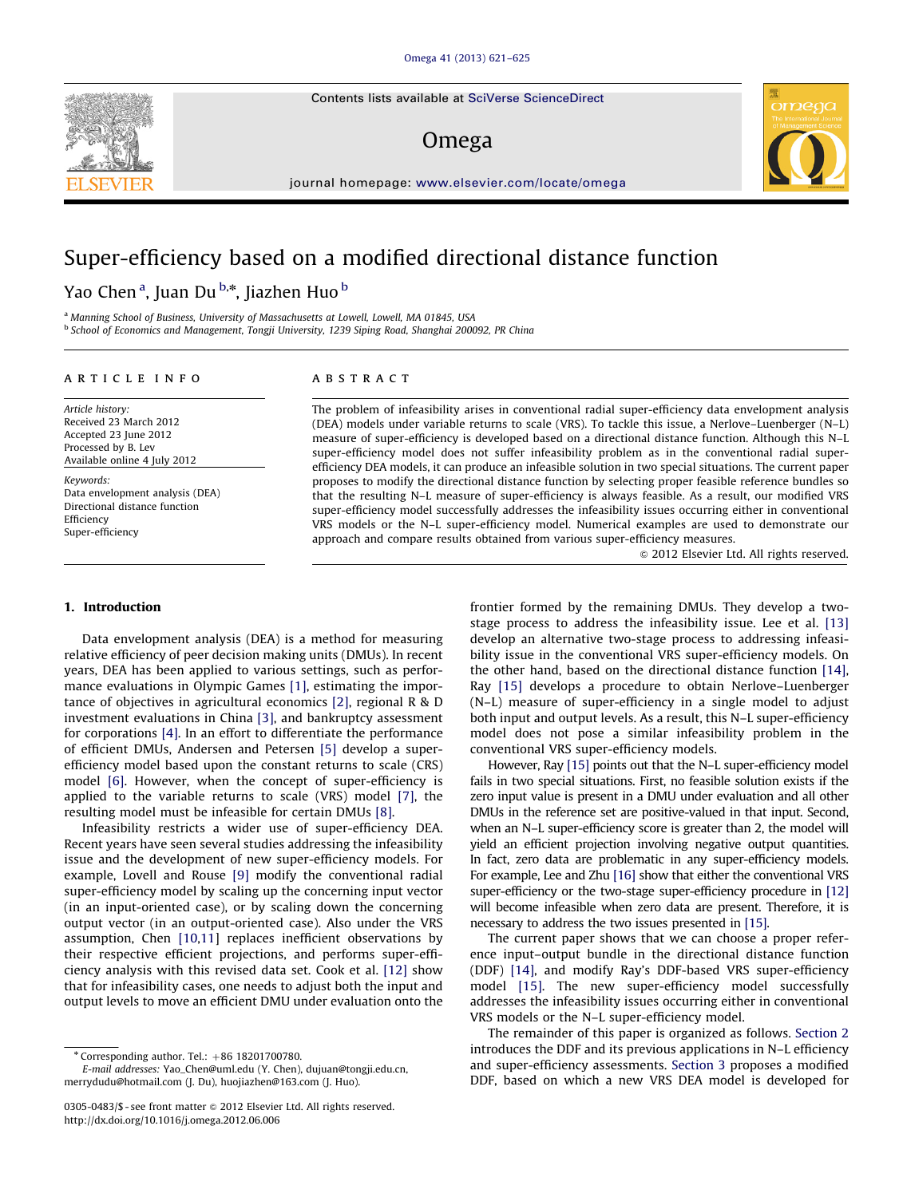Contents lists available at [SciVerse ScienceDirect](www.elsevier.com/locate/omega)

### Omega



journal homepage: <www.elsevier.com/locate/omega>

## Super-efficiency based on a modified directional distance function

Yao Chen<sup>a</sup>, Juan Du<sup>b,</sup>\*, Jiazhen Huo<sup>b</sup>

<sup>a</sup> Manning School of Business, University of Massachusetts at Lowell, Lowell, MA 01845, USA <sup>b</sup> School of Economics and Management, Tongji University, 1239 Siping Road, Shanghai 200092, PR China

#### article info

Article history: Received 23 March 2012 Accepted 23 June 2012 Processed by B. Lev Available online 4 July 2012

Keywords: Data envelopment analysis (DEA) Directional distance function Efficiency Super-efficiency

#### ABSTRACT

The problem of infeasibility arises in conventional radial super-efficiency data envelopment analysis (DEA) models under variable returns to scale (VRS). To tackle this issue, a Nerlove–Luenberger (N–L) measure of super-efficiency is developed based on a directional distance function. Although this N–L super-efficiency model does not suffer infeasibility problem as in the conventional radial superefficiency DEA models, it can produce an infeasible solution in two special situations. The current paper proposes to modify the directional distance function by selecting proper feasible reference bundles so that the resulting N–L measure of super-efficiency is always feasible. As a result, our modified VRS super-efficiency model successfully addresses the infeasibility issues occurring either in conventional VRS models or the N–L super-efficiency model. Numerical examples are used to demonstrate our approach and compare results obtained from various super-efficiency measures.

 $\odot$  2012 Elsevier Ltd. All rights reserved.

#### 1. Introduction

Data envelopment analysis (DEA) is a method for measuring relative efficiency of peer decision making units (DMUs). In recent years, DEA has been applied to various settings, such as performance evaluations in Olympic Games [\[1\]](#page--1-0), estimating the importance of objectives in agricultural economics [\[2\]](#page--1-0), regional R & D investment evaluations in China [\[3\]](#page--1-0), and bankruptcy assessment for corporations [\[4\].](#page--1-0) In an effort to differentiate the performance of efficient DMUs, Andersen and Petersen [\[5\]](#page--1-0) develop a superefficiency model based upon the constant returns to scale (CRS) model [\[6\]](#page--1-0). However, when the concept of super-efficiency is applied to the variable returns to scale (VRS) model [\[7\],](#page--1-0) the resulting model must be infeasible for certain DMUs [\[8\].](#page--1-0)

Infeasibility restricts a wider use of super-efficiency DEA. Recent years have seen several studies addressing the infeasibility issue and the development of new super-efficiency models. For example, Lovell and Rouse [\[9\]](#page--1-0) modify the conventional radial super-efficiency model by scaling up the concerning input vector (in an input-oriented case), or by scaling down the concerning output vector (in an output-oriented case). Also under the VRS assumption, Chen [\[10,11](#page--1-0)] replaces inefficient observations by their respective efficient projections, and performs super-efficiency analysis with this revised data set. Cook et al. [\[12\]](#page--1-0) show that for infeasibility cases, one needs to adjust both the input and output levels to move an efficient DMU under evaluation onto the

frontier formed by the remaining DMUs. They develop a twostage process to address the infeasibility issue. Lee et al. [\[13\]](#page--1-0) develop an alternative two-stage process to addressing infeasibility issue in the conventional VRS super-efficiency models. On the other hand, based on the directional distance function [\[14\],](#page--1-0) Ray [\[15\]](#page--1-0) develops a procedure to obtain Nerlove–Luenberger (N–L) measure of super-efficiency in a single model to adjust both input and output levels. As a result, this N–L super-efficiency model does not pose a similar infeasibility problem in the conventional VRS super-efficiency models.

However, Ray [\[15\]](#page--1-0) points out that the N–L super-efficiency model fails in two special situations. First, no feasible solution exists if the zero input value is present in a DMU under evaluation and all other DMUs in the reference set are positive-valued in that input. Second, when an N–L super-efficiency score is greater than 2, the model will yield an efficient projection involving negative output quantities. In fact, zero data are problematic in any super-efficiency models. For example, Lee and Zhu [\[16\]](#page--1-0) show that either the conventional VRS super-efficiency or the two-stage super-efficiency procedure in [\[12\]](#page--1-0) will become infeasible when zero data are present. Therefore, it is necessary to address the two issues presented in [\[15\]](#page--1-0).

The current paper shows that we can choose a proper reference input–output bundle in the directional distance function (DDF) [\[14\]](#page--1-0), and modify Ray's DDF-based VRS super-efficiency model [\[15\]](#page--1-0). The new super-efficiency model successfully addresses the infeasibility issues occurring either in conventional VRS models or the N–L super-efficiency model.

The remainder of this paper is organized as follows. Section 2 introduces the DDF and its previous applications in N–L efficiency and super-efficiency assessments. [Section 3](#page-1-0) proposes a modified DDF, based on which a new VRS DEA model is developed for



 $*$  Corresponding author. Tel.:  $+86$  18201700780.

E-mail addresses: [Yao\\_Chen@uml.edu \(Y. Chen\)](mailto:Yao_Chen@uml.edu), [dujuan@tongji.edu.cn,](mailto:dujuan@tongji.edu.cn) [merrydudu@hotmail.com \(J. Du\)](mailto:merrydudu@hotmail.com), [huojiazhen@163.com \(J. Huo\)](mailto:huojiazhen@163.com).

<sup>0305-0483/\$ -</sup> see front matter @ 2012 Elsevier Ltd. All rights reserved. [http://dx.doi.org/10.1016/j.omega.2012.06.006](dx.doi.org/10.1016/j.omega.2012.06.006)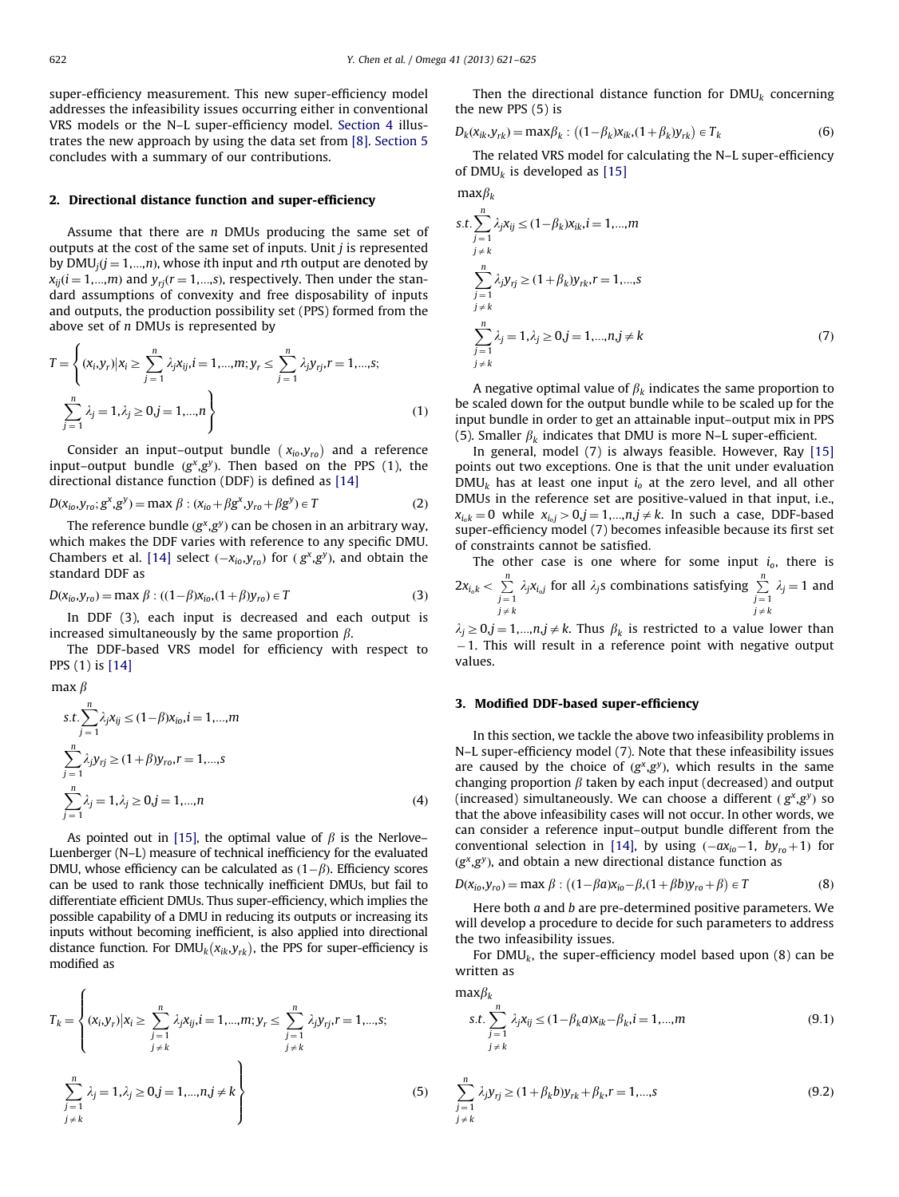$maxB<sub>k</sub>$ 

<span id="page-1-0"></span>super-efficiency measurement. This new super-efficiency model addresses the infeasibility issues occurring either in conventional VRS models or the N–L super-efficiency model. [Section 4](#page--1-0) illustrates the new approach by using the data set from [\[8\]](#page--1-0). [Section 5](#page--1-0) concludes with a summary of our contributions.

#### 2. Directional distance function and super-efficiency

Assume that there are  $n$  DMUs producing the same set of outputs at the cost of the same set of inputs. Unit  $j$  is represented by  $DMU_i(j = 1,...,n)$ , whose ith input and rth output are denoted by  $x_{ij}$ ( $i = 1,...,m$ ) and  $y_{rj}(r = 1,...,s)$ , respectively. Then under the standard assumptions of convexity and free disposability of inputs and outputs, the production possibility set (PPS) formed from the above set of  $n$  DMUs is represented by

$$
T = \left\{ (x_i, y_r) | x_i \ge \sum_{j=1}^n \lambda_j x_{ij}, i = 1, ..., m; y_r \le \sum_{j=1}^n \lambda_j y_{rj}, r = 1, ..., s; \sum_{j=1}^n \lambda_j = 1, \lambda_j \ge 0, j = 1, ..., n \right\}
$$
(1)

Consider an input–output bundle  $(x_{io},y_{ro})$  and a reference input–output bundle  $(g^x, g^y)$ . Then based on the PPS (1), the directional distance function (DDF) is defined as [\[14\]](#page--1-0)

$$
D(x_{io}, y_{ro}; g^x, g^y) = \max \beta : (x_{io} + \beta g^x, y_{ro} + \beta g^y) \in T
$$
 (2)

The reference bundle  $(g^x, g^y)$  can be chosen in an arbitrary way, which makes the DDF varies with reference to any specific DMU. Chambers et al. [\[14\]](#page--1-0) select  $(-x_{io},y_{ro})$  for  $(g^x,g^y)$ , and obtain the standard DDF as

$$
D(x_{io}, y_{ro}) = \max \beta : ((1 - \beta)x_{io}, (1 + \beta)y_{ro}) \in T
$$
 (3)

In DDF (3), each input is decreased and each output is increased simultaneously by the same proportion  $\beta$ .

The DDF-based VRS model for efficiency with respect to PPS (1) is [\[14\]](#page--1-0)

max  $\beta$ 

$$
s.t. \sum_{j=1}^{n} \lambda_j x_{ij} \le (1 - \beta) x_{io}, i = 1, ..., m
$$
  

$$
\sum_{j=1}^{n} \lambda_j y_{rj} \ge (1 + \beta) y_{ro}, r = 1, ..., s
$$
  

$$
\sum_{j=1}^{n} \lambda_j = 1, \lambda_j \ge 0, j = 1, ..., n
$$
 (4)

As pointed out in [\[15\]](#page--1-0), the optimal value of  $\beta$  is the Nerlove– Luenberger (N–L) measure of technical inefficiency for the evaluated DMU, whose efficiency can be calculated as  $(1 - \beta)$ . Efficiency scores can be used to rank those technically inefficient DMUs, but fail to differentiate efficient DMUs. Thus super-efficiency, which implies the possible capability of a DMU in reducing its outputs or increasing its inputs without becoming inefficient, is also applied into directional distance function. For  $\text{DMU}_k(x_{ik}, y_{rk})$ , the PPS for super-efficiency is modified as

$$
T_{k} = \left\{ (x_{i}, y_{r}) | x_{i} \ge \sum_{j=1}^{n} \lambda_{j} x_{ij}, i = 1, ..., m; y_{r} \le \sum_{j=1}^{n} \lambda_{j} y_{rj}, r = 1, ..., s; j \ne k \right\}
$$
  

$$
\sum_{\substack{j=1 \ j \ne k}}^{n} \lambda_{j} = 1, \lambda_{j} \ge 0, j = 1, ..., n, j \ne k \right\}
$$
(5)

Then the directional distance function for  $DMU_k$  concerning the new PPS (5) is

$$
D_k(x_{ik}, y_{rk}) = \max \beta_k : ((1 - \beta_k)x_{ik}, (1 + \beta_k)y_{rk}) \in T_k
$$
 (6)

The related VRS model for calculating the N–L super-efficiency of DMU<sub>k</sub> is developed as [\[15\]](#page--1-0)

s.t. 
$$
\sum_{j=1}^{n} \lambda_j x_{ij} \le (1 - \beta_k) x_{ik}, i = 1,..., m
$$
  

$$
\sum_{j=k}^{n} \lambda_j y_{rj} \ge (1 + \beta_k) y_{rk}, r = 1,..., s
$$
  

$$
\sum_{j=1}^{n} \lambda_j = 1, \lambda_j \ge 0, j = 1,..., n, j \ne k
$$
  

$$
\sum_{j=1}^{n} \lambda_j = 1, \lambda_j \ge 0, j = 1,..., n, j \ne k
$$
 (7)

A negative optimal value of  $\beta_k$  indicates the same proportion to be scaled down for the output bundle while to be scaled up for the input bundle in order to get an attainable input–output mix in PPS (5). Smaller  $\beta_k$  indicates that DMU is more N–L super-efficient.

In general, model (7) is always feasible. However, Ray [\[15\]](#page--1-0) points out two exceptions. One is that the unit under evaluation  $DMU_k$  has at least one input  $i_0$  at the zero level, and all other DMUs in the reference set are positive-valued in that input, i.e.,  $x_{i_0k} = 0$  while  $x_{i_0j} > 0, j = 1,...,n, j \neq k$ . In such a case, DDF-based super-efficiency model (7) becomes infeasible because its first set of constraints cannot be satisfied.

The other case is one where for some input  $i_0$ , there is  $2x_{i_0k} < \sum_{j=1}^n \lambda_j x_{i_0j}$  for all  $\lambda_j$ s combinations satisfying  $\sum_{j=1}^n \lambda_j = 1$  and j $\neq k$  $j\neq k$ 

 $\lambda_j \geq 0, j = 1,...,n, j \neq k$ . Thus  $\beta_k$  is restricted to a value lower than -1. This will result in a reference point with negative output values.

#### 3. Modified DDF-based super-efficiency

In this section, we tackle the above two infeasibility problems in N–L super-efficiency model (7). Note that these infeasibility issues are caused by the choice of  $(g^x, g^y)$ , which results in the same changing proportion  $\beta$  taken by each input (decreased) and output (increased) simultaneously. We can choose a different  $(g^x, g^y)$  so that the above infeasibility cases will not occur. In other words, we can consider a reference input–output bundle different from the conventional selection in [\[14\]](#page--1-0), by using  $(-ax_{io}-1, by_{ro}+1)$  for  $(g^x, g^y)$ , and obtain a new directional distance function as

$$
D(x_{io}, y_{ro}) = \max \beta : ((1 - \beta a)x_{io} - \beta, (1 + \beta b)y_{ro} + \beta) \in T
$$
 (8)

Here both  $a$  and  $b$  are pre-determined positive parameters. We will develop a procedure to decide for such parameters to address the two infeasibility issues.

For  $DMU_k$ , the super-efficiency model based upon (8) can be written as

$$
\max \beta_k
$$
  
s.t. 
$$
\sum_{\substack{j=1 \ j \neq k}}^n \lambda_j x_{ij} \le (1 - \beta_k a) x_{ik} - \beta_k, i = 1, ..., m
$$
  
(9.1)

$$
\sum_{\substack{j=1 \ j \neq k}}^{n} \lambda_j y_{rj} \ge (1 + \beta_k b) y_{rk} + \beta_k r = 1, ..., s
$$
 (9.2)